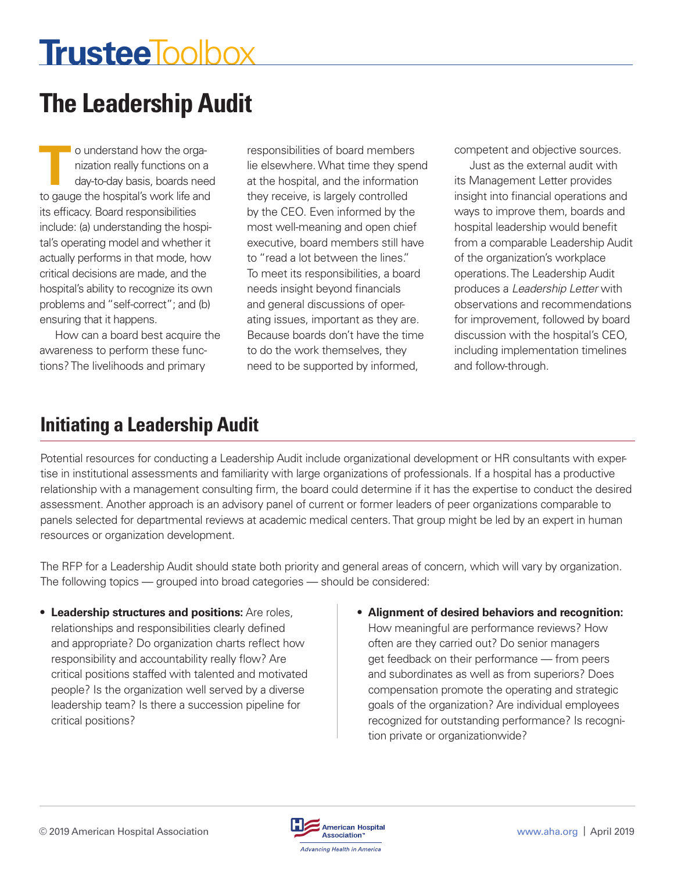# **TrusteeToolbox**

# **The Leadership Audit**

**The Conductant of the organization really functions on a day-to-day basis, boards need to square the benefital conducts life and the square the benefital conducts.** nization really functions on a day-to-day basis, boards need to gauge the hospital's work life and its efficacy. Board responsibilities include: (a) understanding the hospital's operating model and whether it actually performs in that mode, how critical decisions are made, and the hospital's ability to recognize its own problems and "self-correct"; and (b) ensuring that it happens.

How can a board best acquire the awareness to perform these functions? The livelihoods and primary

responsibilities of board members lie elsewhere. What time they spend at the hospital, and the information they receive, is largely controlled by the CEO. Even informed by the most well-meaning and open chief executive, board members still have to "read a lot between the lines." To meet its responsibilities, a board needs insight beyond financials and general discussions of operating issues, important as they are. Because boards don't have the time to do the work themselves, they need to be supported by informed,

competent and objective sources.

Just as the external audit with its Management Letter provides insight into financial operations and ways to improve them, boards and hospital leadership would benefit from a comparable Leadership Audit of the organization's workplace operations. The Leadership Audit produces a *Leadership Letter* with observations and recommendations for improvement, followed by board discussion with the hospital's CEO, including implementation timelines and follow-through.

### **Initiating a Leadership Audit**

Potential resources for conducting a Leadership Audit include organizational development or HR consultants with expertise in institutional assessments and familiarity with large organizations of professionals. If a hospital has a productive relationship with a management consulting firm, the board could determine if it has the expertise to conduct the desired assessment. Another approach is an advisory panel of current or former leaders of peer organizations comparable to panels selected for departmental reviews at academic medical centers. That group might be led by an expert in human resources or organization development.

The RFP for a Leadership Audit should state both priority and general areas of concern, which will vary by organization. The following topics — grouped into broad categories — should be considered:

- **Leadership structures and positions:** Are roles, relationships and responsibilities clearly defined and appropriate? Do organization charts reflect how responsibility and accountability really flow? Are critical positions staffed with talented and motivated people? Is the organization well served by a diverse leadership team? Is there a succession pipeline for critical positions?
- **Alignment of desired behaviors and recognition:**  How meaningful are performance reviews? How often are they carried out? Do senior managers get feedback on their performance — from peers and subordinates as well as from superiors? Does compensation promote the operating and strategic goals of the organization? Are individual employees recognized for outstanding performance? Is recognition private or organizationwide?

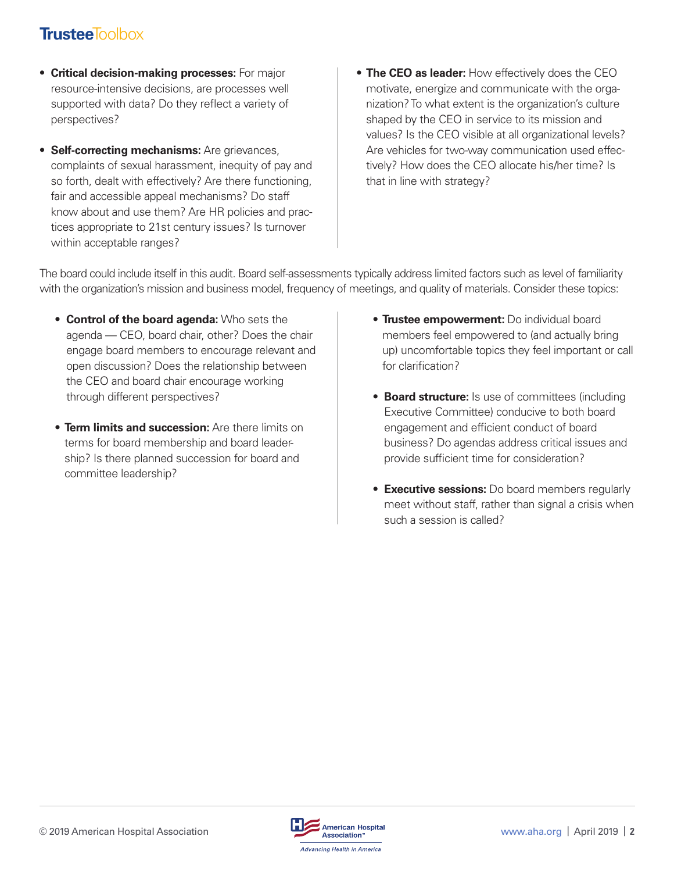#### **Trustee**Toolbox

- **Critical decision-making processes:** For major resource-intensive decisions, are processes well supported with data? Do they reflect a variety of perspectives?
- **Self-correcting mechanisms:** Are grievances, complaints of sexual harassment, inequity of pay and so forth, dealt with effectively? Are there functioning, fair and accessible appeal mechanisms? Do staff know about and use them? Are HR policies and practices appropriate to 21st century issues? Is turnover within acceptable ranges?
- **The CEO as leader:** How effectively does the CEO motivate, energize and communicate with the organization? To what extent is the organization's culture shaped by the CEO in service to its mission and values? Is the CEO visible at all organizational levels? Are vehicles for two-way communication used effectively? How does the CEO allocate his/her time? Is that in line with strategy?

The board could include itself in this audit. Board self-assessments typically address limited factors such as level of familiarity with the organization's mission and business model, frequency of meetings, and quality of materials. Consider these topics:

- **Control of the board agenda:** Who sets the agenda — CEO, board chair, other? Does the chair engage board members to encourage relevant and open discussion? Does the relationship between the CEO and board chair encourage working through different perspectives?
- **Term limits and succession:** Are there limits on terms for board membership and board leadership? Is there planned succession for board and committee leadership?
- **Trustee empowerment:** Do individual board members feel empowered to (and actually bring up) uncomfortable topics they feel important or call for clarification?
- **Board structure:** Is use of committees (including Executive Committee) conducive to both board engagement and efficient conduct of board business? Do agendas address critical issues and provide sufficient time for consideration?
- **Executive sessions:** Do board members regularly meet without staff, rather than signal a crisis when such a session is called?